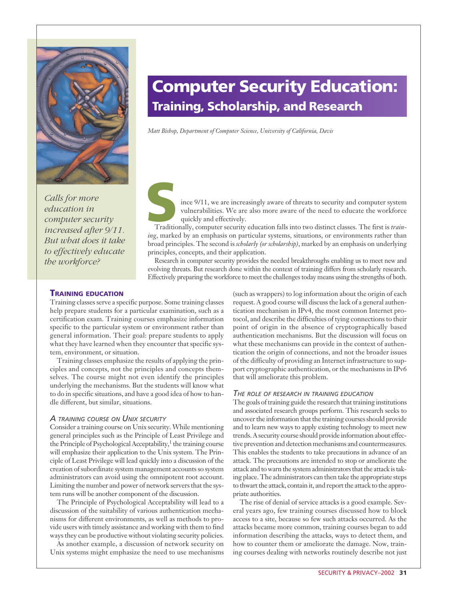

*Calls for more education in computer security increased after 9/11. But what does it take to effectively educate the workforce?* 

# **Computer Security Education: Training, Scholarship, and Research**

*Matt Bishop, Department of Computer Science, University of California, Davis*

Since 9/11, we are increasingly aware of threats to security and computer system vulnerabilities. We are also more aware of the need to educate the workforce quickly and effectively.<br>Traditionally, computer security educat vulnerabilities. We are also more aware of the need to educate the workforce quickly and effectively.

*ing*, marked by an emphasis on particular systems, situations, or environments rather than broad principles. The second is *scholarly (or scholarship)*, marked by an emphasis on underlying principles, concepts, and their application.

Research in computer security provides the needed breakthroughs enabling us to meet new and evolving threats. But research done within the context of training differs from scholarly research. Effectively preparing the workforce to meet the challenges today means using the strengths of both.

## **TRAINING EDUCATION**

Training classes serve a specific purpose. Some training classes help prepare students for a particular examination, such as a certification exam. Training courses emphasize information specific to the particular system or environment rather than general information. Their goal: prepare students to apply what they have learned when they encounter that specific system, environment, or situation.

Training classes emphasize the results of applying the principles and concepts, not the principles and concepts themselves. The course might not even identify the principles underlying the mechanisms. But the students will know what to do in specific situations, and have a good idea of how to handle different, but similar, situations.

## *A TRAINING COURSE ON UNIX SECURITY*

Consider a training course on Unix security. While mentioning general principles such as the Principle of Least Privilege and the Principle of Psychological Acceptability, $<sup>1</sup>$  the training course</sup> will emphasize their application to the Unix system. The Principle of Least Privilege will lead quickly into a discussion of the creation of subordinate system management accounts so system administrators can avoid using the omnipotent root account. Limiting the number and power of network servers that the system runs will be another component of the discussion.

The Principle of Psychological Acceptability will lead to a discussion of the suitability of various authentication mechanisms for different environments, as well as methods to provide users with timely assistance and working with them to find ways they can be productive without violating security policies.

As another example, a discussion of network security on Unix systems might emphasize the need to use mechanisms

(such as wrappers) to log information about the origin of each request. A good course will discuss the lack of a general authentication mechanism in IPv4, the most common Internet protocol, and describe the difficulties of tying connections to their point of origin in the absence of cryptographically based authentication mechanisms. But the discussion will focus on what these mechanisms can provide in the context of authentication the origin of connections, and not the broader issues of the difficulty of providing an Internet infrastructure to support cryptographic authentication, or the mechanisms in IPv6 that will ameliorate this problem.

#### *THE ROLE OF RESEARCH IN TRAINING EDUCATION*

The goals of training guide the research that training institutions and associated research groups perform. This research seeks to uncover the information that the training courses should provide and to learn new ways to apply existing technology to meet new trends. A security course should provide information about effective prevention and detection mechanisms and countermeasures. This enables the students to take precautions in advance of an attack. The precautions are intended to stop or ameliorate the attack and to warn the system administrators that the attack is taking place. The administrators can then take the appropriate steps to thwart the attack, contain it, and report the attack to the appropriate authorities.

The rise of denial of service attacks is a good example. Several years ago, few training courses discussed how to block access to a site, because so few such attacks occurred. As the attacks became more common, training courses began to add information describing the attacks, ways to detect them, and how to counter them or ameliorate the damage. Now, training courses dealing with networks routinely describe not just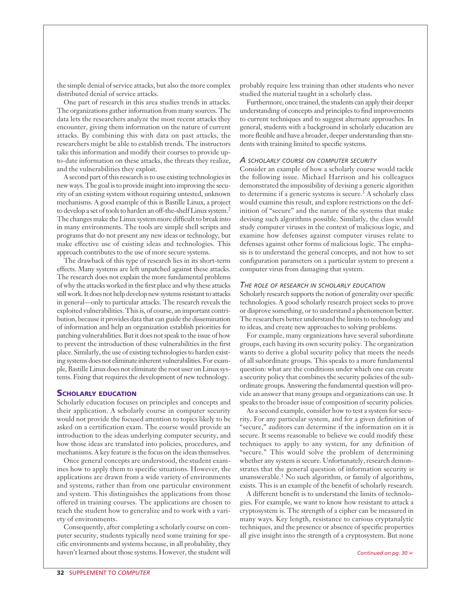the simple denial of service attacks, but also the more complex distributed denial of service attacks.

One part of research in this area studies trends in attacks. The organizations gather information from many sources. The data lets the researchers analyze the most recent attacks they encounter, giving them information on the nature of current attacks. By combining this with data on past attacks, the researchers might be able to establish trends. The instructors take this information and modify their courses to provide upto-date information on these attacks, the threats they realize, and the vulnerabilities they exploit.

A second part of this research is to use existing technologies in new ways. The goal is to provide insight into improving the security of an existing system without requiring untested, unknown mechanisms. A good example of this is Bastille Linux, a project to develop a set of tools to harden an off-the-shelf Linux system.2 The changes make the Linux system more difficult to break into in many environments. The tools are simple shell scripts and programs that do not present any new ideas or technology, but make effective use of existing ideas and technologies. This approach contributes to the use of more secure systems.

The drawback of this type of research lies in its short-term effects. Many systems are left unpatched against these attacks. The research does not explain the more fundamental problems of why the attacks worked in the first place and why these attacks still work. It does not help develop new systems resistant to attacks in general—only to particular attacks. The research reveals the exploited vulnerabilities. This is, of course, an important contribution, because it provides data that can guide the dissemination of information and help an organization establish priorities for patching vulnerabilities. But it does not speak to the issue of how to prevent the introduction of these vulnerabilities in the first place. Similarly, the use of existing technologies to harden existing systems does not eliminate inherent vulnerabilities. For example, Bastille Linux does not eliminate the root user on Linux systems. Fixing that requires the development of new technology.

# **SCHOLARLY EDUCATION**

Scholarly education focuses on principles and concepts and their application. A scholarly course in computer security would not provide the focused attention to topics likely to be asked on a certification exam. The course would provide an introduction to the ideas underlying computer security, and how those ideas are translated into policies, procedures, and mechanisms. A key feature is the focus on the ideas themselves.

Once general concepts are understood, the student examines how to apply them to specific situations. However, the applications are drawn from a wide variety of environments and systems, rather than from one particular environment and system. This distinguishes the applications from those offered in training courses. The applications are chosen to teach the student how to generalize and to work with a variety of environments.

Consequently, after completing a scholarly course on computer security, students typically need some training for specific environments and systems because, in all probability, they haven't learned about those systems. However, the student will probably require less training than other students who never studied the material taught in a scholarly class.

Furthermore, once trained, the students can apply their deeper understanding of concepts and principles to find improvements to current techniques and to suggest alternate approaches. In general, students with a background in scholarly education are more flexible and have a broader, deeper understanding than students with training limited to specific systems.

# *A SCHOLARLY COURSE ON COMPUTER SECURITY*

Consider an example of how a scholarly course would tackle the following issue. Michael Harrison and his colleagues demonstrated the impossibility of devising a generic algorithm to determine if a generic systems is secure.<sup>3</sup> A scholarly class would examine this result, and explore restrictions on the definition of "secure" and the nature of the systems that make devising such algorithms possible. Similarly, the class would study computer viruses in the context of malicious logic, and examine how defenses against computer viruses relate to defenses against other forms of malicious logic. The emphasis is to understand the general concepts, and not how to set configuration parameters on a particular system to prevent a computer virus from damaging that system.

#### *THE ROLE OF RESEARCH IN SCHOLARLY EDUCATION*

Scholarly research supports the notion of generality over specific technologies. A good scholarly research project seeks to prove or disprove something, or to understand a phenomenon better. The researchers better understand the limits to technology and to ideas, and create new approaches to solving problems.

For example, many organizations have several subordinate groups, each having its own security policy. The organization wants to derive a global security policy that meets the needs of all subordinate groups. This speaks to a more fundamental question: what are the conditions under which one can create a security policy that combines the security policies of the subordinate groups. Answering the fundamental question will provide an answer that many groups and organizations can use. It speaks to the broader issue of composition of security policies.

As a second example, consider how to test a system for security. For any particular system, and for a given definition of "secure," auditors can determine if the information on it is secure. It seems reasonable to believe we could modify these techniques to apply to any system, for any definition of "secure." This would solve the problem of determining whether any system is secure. Unfortunately, research demonstrates that the general question of information security is unanswerable.<sup>1</sup> No such algorithm, or family of algorithms, exists. This is an example of the benefit of scholarly research.

A different benefit is to understand the limits of technologies. For example, we want to know how resistant to attack a cryptosystem is. The strength of a cipher can be measured in many ways. Key length, resistance to carious cryptanalytic techniques, and the presence or absence of specific properties all give insight into the strength of a cryptosystem. But none